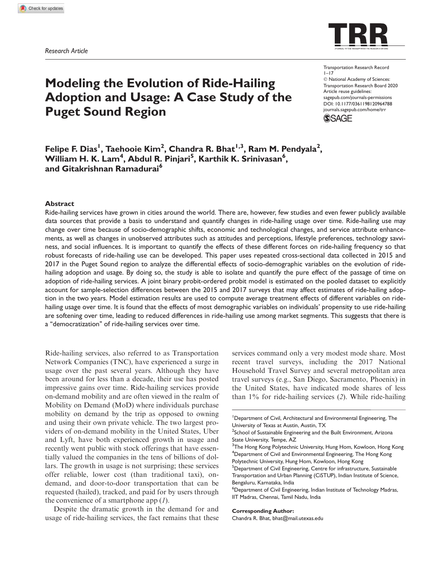

# Modeling the Evolution of Ride-Hailing Adoption and Usage: A Case Study of the Puget Sound Region

Transportation Research Record  $1 - 17$  $©$  National Academy of Sciences: Transportation Research Board 2020 Article reuse guidelines: sagepub.com/journals-permissions DOI: 10.1177/0361198120964788 journals.sagepub.com/home/trr



Felipe F. Dias<sup>I</sup>, Taehooie Kim<sup>2</sup>, Chandra R. Bhat<sup>I,3</sup>, Ram M. Pendyala<sup>2</sup>, William H. K. Lam<sup>4</sup>, Abdul R. Pinjari<sup>5</sup>, Karthik K. Srinivasan<sup>6</sup>, and Gitakrishnan Ramadurai<sup>6</sup>

#### Abstract

Ride-hailing services have grown in cities around the world. There are, however, few studies and even fewer publicly available data sources that provide a basis to understand and quantify changes in ride-hailing usage over time. Ride-hailing use may change over time because of socio-demographic shifts, economic and technological changes, and service attribute enhancements, as well as changes in unobserved attributes such as attitudes and perceptions, lifestyle preferences, technology savviness, and social influences. It is important to quantify the effects of these different forces on ride-hailing frequency so that robust forecasts of ride-hailing use can be developed. This paper uses repeated cross-sectional data collected in 2015 and 2017 in the Puget Sound region to analyze the differential effects of socio-demographic variables on the evolution of ridehailing adoption and usage. By doing so, the study is able to isolate and quantify the pure effect of the passage of time on adoption of ride-hailing services. A joint binary probit-ordered probit model is estimated on the pooled dataset to explicitly account for sample-selection differences between the 2015 and 2017 surveys that may affect estimates of ride-hailing adoption in the two years. Model estimation results are used to compute average treatment effects of different variables on ridehailing usage over time. It is found that the effects of most demographic variables on individuals' propensity to use ride-hailing are softening over time, leading to reduced differences in ride-hailing use among market segments. This suggests that there is a ''democratization'' of ride-hailing services over time.

Ride-hailing services, also referred to as Transportation Network Companies (TNC), have experienced a surge in usage over the past several years. Although they have been around for less than a decade, their use has posted impressive gains over time. Ride-hailing services provide on-demand mobility and are often viewed in the realm of Mobility on Demand (MoD) where individuals purchase mobility on demand by the trip as opposed to owning and using their own private vehicle. The two largest providers of on-demand mobility in the United States, Uber and Lyft, have both experienced growth in usage and recently went public with stock offerings that have essentially valued the companies in the tens of billions of dollars. The growth in usage is not surprising; these services offer reliable, lower cost (than traditional taxi), ondemand, and door-to-door transportation that can be requested (hailed), tracked, and paid for by users through the convenience of a smartphone app (*1*).

Despite the dramatic growth in the demand for and usage of ride-hailing services, the fact remains that these services command only a very modest mode share. Most recent travel surveys, including the 2017 National Household Travel Survey and several metropolitan area travel surveys (e.g., San Diego, Sacramento, Phoenix) in the United States, have indicated mode shares of less than 1% for ride-hailing services (*2*). While ride-hailing

#### Corresponding Author:

Chandra R. Bhat, bhat@mail.utexas.edu

<sup>&</sup>lt;sup>1</sup>Department of Civil, Architectural and Environmental Engineering, The University of Texas at Austin, Austin, TX

<sup>&</sup>lt;sup>2</sup>School of Sustainable Engineering and the Built Environment, Arizona State University, Tempe, AZ

<sup>&</sup>lt;sup>3</sup>The Hong Kong Polytechnic University, Hung Hom, Kowloon, Hong Kong <sup>4</sup>Department of Civil and Environmental Engineering, The Hong Kong Polytechnic University, Hung Hom, Kowloon, Hong Kong

<sup>&</sup>lt;sup>5</sup>Department of Civil Engineering, Centre for infrastructure, Sustainable Transportation and Urban Planning (CiSTUP), Indian Institute of Science, Bengaluru, Karnataka, India

<sup>6</sup>Department of Civil Engineering, Indian Institute of Technology Madras, IIT Madras, Chennai, Tamil Nadu, India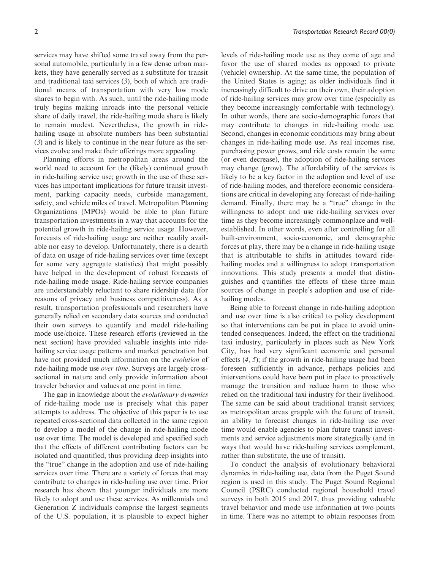services may have shifted some travel away from the personal automobile, particularly in a few dense urban markets, they have generally served as a substitute for transit and traditional taxi services (*3*), both of which are traditional means of transportation with very low mode shares to begin with. As such, until the ride-hailing mode truly begins making inroads into the personal vehicle share of daily travel, the ride-hailing mode share is likely to remain modest. Nevertheless, the growth in ridehailing usage in absolute numbers has been substantial (*3*) and is likely to continue in the near future as the services evolve and make their offerings more appealing.

Planning efforts in metropolitan areas around the world need to account for the (likely) continued growth in ride-hailing service use; growth in the use of these services has important implications for future transit investment, parking capacity needs, curbside management, safety, and vehicle miles of travel. Metropolitan Planning Organizations (MPOs) would be able to plan future transportation investments in a way that accounts for the potential growth in ride-hailing service usage. However, forecasts of ride-hailing usage are neither readily available nor easy to develop. Unfortunately, there is a dearth of data on usage of ride-hailing services over time (except for some very aggregate statistics) that might possibly have helped in the development of robust forecasts of ride-hailing mode usage. Ride-hailing service companies are understandably reluctant to share ridership data (for reasons of privacy and business competitiveness). As a result, transportation professionals and researchers have generally relied on secondary data sources and conducted their own surveys to quantify and model ride-hailing mode use/choice. These research efforts (reviewed in the next section) have provided valuable insights into ridehailing service usage patterns and market penetration but have not provided much information on the *evolution* of ride-hailing mode use *over time*. Surveys are largely crosssectional in nature and only provide information about traveler behavior and values at one point in time.

The gap in knowledge about the *evolutionary dynamics* of ride-hailing mode use is precisely what this paper attempts to address. The objective of this paper is to use repeated cross-sectional data collected in the same region to develop a model of the change in ride-hailing mode use over time. The model is developed and specified such that the effects of different contributing factors can be isolated and quantified, thus providing deep insights into the ''true'' change in the adoption and use of ride-hailing services over time. There are a variety of forces that may contribute to changes in ride-hailing use over time. Prior research has shown that younger individuals are more likely to adopt and use these services. As millennials and Generation Z individuals comprise the largest segments of the U.S. population, it is plausible to expect higher

levels of ride-hailing mode use as they come of age and favor the use of shared modes as opposed to private (vehicle) ownership. At the same time, the population of the United States is aging; as older individuals find it increasingly difficult to drive on their own, their adoption of ride-hailing services may grow over time (especially as they become increasingly comfortable with technology). In other words, there are socio-demographic forces that may contribute to changes in ride-hailing mode use. Second, changes in economic conditions may bring about changes in ride-hailing mode use. As real incomes rise, purchasing power grows, and ride costs remain the same (or even decrease), the adoption of ride-hailing services may change (grow). The affordability of the services is likely to be a key factor in the adoption and level of use of ride-hailing modes, and therefore economic considerations are critical in developing any forecast of ride-hailing demand. Finally, there may be a ''true'' change in the willingness to adopt and use ride-hailing services over time as they become increasingly commonplace and wellestablished. In other words, even after controlling for all built-environment, socio-economic, and demographic forces at play, there may be a change in ride-hailing usage that is attributable to shifts in attitudes toward ridehailing modes and a willingness to adopt transportation innovations. This study presents a model that distinguishes and quantifies the effects of these three main sources of change in people's adoption and use of ridehailing modes.

Being able to forecast change in ride-hailing adoption and use over time is also critical to policy development so that interventions can be put in place to avoid unintended consequences. Indeed, the effect on the traditional taxi industry, particularly in places such as New York City, has had very significant economic and personal effects (*4, 5*); if the growth in ride-hailing usage had been foreseen sufficiently in advance, perhaps policies and interventions could have been put in place to proactively manage the transition and reduce harm to those who relied on the traditional taxi industry for their livelihood. The same can be said about traditional transit services; as metropolitan areas grapple with the future of transit, an ability to forecast changes in ride-hailing use over time would enable agencies to plan future transit investments and service adjustments more strategically (and in ways that would have ride-hailing services complement, rather than substitute, the use of transit).

To conduct the analysis of evolutionary behavioral dynamics in ride-hailing use, data from the Puget Sound region is used in this study. The Puget Sound Regional Council (PSRC) conducted regional household travel surveys in both 2015 and 2017, thus providing valuable travel behavior and mode use information at two points in time. There was no attempt to obtain responses from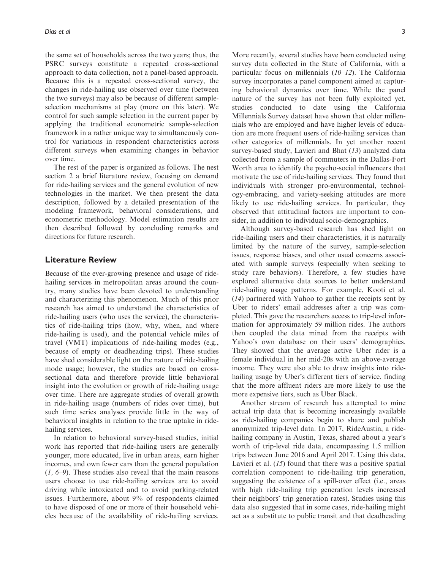the same set of households across the two years; thus, the PSRC surveys constitute a repeated cross-sectional approach to data collection, not a panel-based approach. Because this is a repeated cross-sectional survey, the changes in ride-hailing use observed over time (between the two surveys) may also be because of different sampleselection mechanisms at play (more on this later). We control for such sample selection in the current paper by applying the traditional econometric sample-selection framework in a rather unique way to simultaneously control for variations in respondent characteristics across different surveys when examining changes in behavior over time.

The rest of the paper is organized as follows. The nest section 2 a brief literature review, focusing on demand for ride-hailing services and the general evolution of new technologies in the market. We then present the data description, followed by a detailed presentation of the modeling framework, behavioral considerations, and econometric methodology. Model estimation results are then described followed by concluding remarks and directions for future research.

## Literature Review

Because of the ever-growing presence and usage of ridehailing services in metropolitan areas around the country, many studies have been devoted to understanding and characterizing this phenomenon. Much of this prior research has aimed to understand the characteristics of ride-hailing users (who uses the service), the characteristics of ride-hailing trips (how, why, when, and where ride-hailing is used), and the potential vehicle miles of travel (VMT) implications of ride-hailing modes (e.g., because of empty or deadheading trips). These studies have shed considerable light on the nature of ride-hailing mode usage; however, the studies are based on crosssectional data and therefore provide little behavioral insight into the evolution or growth of ride-hailing usage over time. There are aggregate studies of overall growth in ride-hailing usage (numbers of rides over time), but such time series analyses provide little in the way of behavioral insights in relation to the true uptake in ridehailing services.

In relation to behavioral survey-based studies, initial work has reported that ride-hailing users are generally younger, more educated, live in urban areas, earn higher incomes, and own fewer cars than the general population (*1, 6–9*). These studies also reveal that the main reasons users choose to use ride-hailing services are to avoid driving while intoxicated and to avoid parking-related issues. Furthermore, about 9% of respondents claimed to have disposed of one or more of their household vehicles because of the availability of ride-hailing services.

More recently, several studies have been conducted using survey data collected in the State of California, with a particular focus on millennials (*10–12*). The California survey incorporates a panel component aimed at capturing behavioral dynamics over time. While the panel nature of the survey has not been fully exploited yet, studies conducted to date using the California Millennials Survey dataset have shown that older millennials who are employed and have higher levels of education are more frequent users of ride-hailing services than other categories of millennials. In yet another recent survey-based study, Lavieri and Bhat (*13*) analyzed data collected from a sample of commuters in the Dallas-Fort Worth area to identify the psycho-social influencers that motivate the use of ride-hailing services. They found that individuals with stronger pro-environmental, technology-embracing, and variety-seeking attitudes are more likely to use ride-hailing services. In particular, they observed that attitudinal factors are important to consider, in addition to individual socio-demographics.

Although survey-based research has shed light on ride-hailing users and their characteristics, it is naturally limited by the nature of the survey, sample-selection issues, response biases, and other usual concerns associated with sample surveys (especially when seeking to study rare behaviors). Therefore, a few studies have explored alternative data sources to better understand ride-hailing usage patterns. For example, Kooti et al. (*14*) partnered with Yahoo to gather the receipts sent by Uber to riders' email addresses after a trip was completed. This gave the researchers access to trip-level information for approximately 59 million rides. The authors then coupled the data mined from the receipts with Yahoo's own database on their users' demographics. They showed that the average active Uber rider is a female individual in her mid-20s with an above-average income. They were also able to draw insights into ridehailing usage by Uber's different tiers of service, finding that the more affluent riders are more likely to use the more expensive tiers, such as Uber Black.

Another stream of research has attempted to mine actual trip data that is becoming increasingly available as ride-hailing companies begin to share and publish anonymized trip-level data. In 2017, RideAustin, a ridehailing company in Austin, Texas, shared about a year's worth of trip-level ride data, encompassing 1.5 million trips between June 2016 and April 2017. Using this data, Lavieri et al. (*15*) found that there was a positive spatial correlation component to ride-hailing trip generation, suggesting the existence of a spill-over effect (i.e., areas with high ride-hailing trip generation levels increased their neighbors' trip generation rates). Studies using this data also suggested that in some cases, ride-hailing might act as a substitute to public transit and that deadheading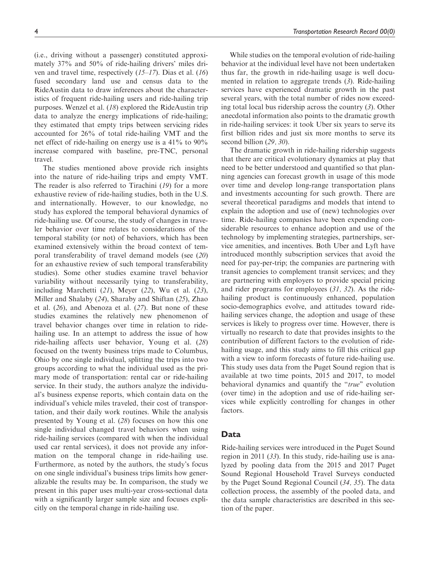(i.e., driving without a passenger) constituted approximately 37% and 50% of ride-hailing drivers' miles driven and travel time, respectively (*15–17*). Dias et al. (*16*) fused secondary land use and census data to the RideAustin data to draw inferences about the characteristics of frequent ride-hailing users and ride-hailing trip purposes. Wenzel et al. (*18*) explored the RideAustin trip data to analyze the energy implications of ride-hailing; they estimated that empty trips between servicing rides accounted for 26% of total ride-hailing VMT and the net effect of ride-hailing on energy use is a 41% to 90% increase compared with baseline, pre-TNC, personal travel.

The studies mentioned above provide rich insights into the nature of ride-hailing trips and empty VMT. The reader is also referred to Tirachini (*19*) for a more exhaustive review of ride-hailing studies, both in the U.S. and internationally. However, to our knowledge, no study has explored the temporal behavioral dynamics of ride-hailing use. Of course, the study of changes in traveler behavior over time relates to considerations of the temporal stability (or not) of behaviors, which has been examined extensively within the broad context of temporal transferability of travel demand models (see (*20*) for an exhaustive review of such temporal transferability studies). Some other studies examine travel behavior variability without necessarily tying to transferability, including Marchetti (*21*), Meyer (*22*), Wu et al. (*23*), Miller and Shalaby (*24*), Sharaby and Shiftan (*25*), Zhao et al. (*26*), and Abenoza et al. (*27*). But none of these studies examines the relatively new phenomenon of travel behavior changes over time in relation to ridehailing use. In an attempt to address the issue of how ride-hailing affects user behavior, Young et al. (*28*) focused on the twenty business trips made to Columbus, Ohio by one single individual, splitting the trips into two groups according to what the individual used as the primary mode of transportation: rental car or ride-hailing service. In their study, the authors analyze the individual's business expense reports, which contain data on the individual's vehicle miles traveled, their cost of transportation, and their daily work routines. While the analysis presented by Young et al. (*28*) focuses on how this one single individual changed travel behaviors when using ride-hailing services (compared with when the individual used car rental services), it does not provide any information on the temporal change in ride-hailing use. Furthermore, as noted by the authors, the study's focus on one single individual's business trips limits how generalizable the results may be. In comparison, the study we present in this paper uses multi-year cross-sectional data with a significantly larger sample size and focuses explicitly on the temporal change in ride-hailing use.

While studies on the temporal evolution of ride-hailing behavior at the individual level have not been undertaken thus far, the growth in ride-hailing usage is well documented in relation to aggregate trends (*3*). Ride-hailing services have experienced dramatic growth in the past several years, with the total number of rides now exceeding total local bus ridership across the country (*3*). Other anecdotal information also points to the dramatic growth in ride-hailing services: it took Uber six years to serve its first billion rides and just six more months to serve its second billion (*29, 30*).

The dramatic growth in ride-hailing ridership suggests that there are critical evolutionary dynamics at play that need to be better understood and quantified so that planning agencies can forecast growth in usage of this mode over time and develop long-range transportation plans and investments accounting for such growth. There are several theoretical paradigms and models that intend to explain the adoption and use of (new) technologies over time. Ride-hailing companies have been expending considerable resources to enhance adoption and use of the technology by implementing strategies, partnerships, service amenities, and incentives. Both Uber and Lyft have introduced monthly subscription services that avoid the need for pay-per-trip; the companies are partnering with transit agencies to complement transit services; and they are partnering with employers to provide special pricing and rider programs for employees (*31, 32*). As the ridehailing product is continuously enhanced, population socio-demographics evolve, and attitudes toward ridehailing services change, the adoption and usage of these services is likely to progress over time. However, there is virtually no research to date that provides insights to the contribution of different factors to the evolution of ridehailing usage, and this study aims to fill this critical gap with a view to inform forecasts of future ride-hailing use. This study uses data from the Puget Sound region that is available at two time points, 2015 and 2017, to model behavioral dynamics and quantify the ''*true*'' evolution (over time) in the adoption and use of ride-hailing services while explicitly controlling for changes in other factors.

## Data

Ride-hailing services were introduced in the Puget Sound region in 2011 (*33*). In this study, ride-hailing use is analyzed by pooling data from the 2015 and 2017 Puget Sound Regional Household Travel Surveys conducted by the Puget Sound Regional Council (*34, 35*). The data collection process, the assembly of the pooled data, and the data sample characteristics are described in this section of the paper.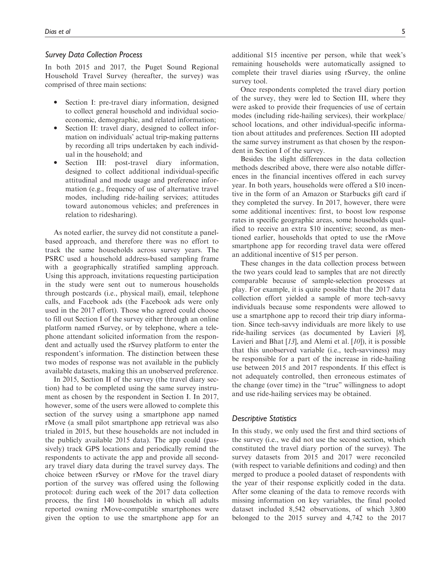## Survey Data Collection Process

In both 2015 and 2017, the Puget Sound Regional Household Travel Survey (hereafter, the survey) was comprised of three main sections:

- $\bullet$  Section I: pre-travel diary information, designed to collect general household and individual socioeconomic, demographic, and related information;
- $\bullet$  Section II: travel diary, designed to collect information on individuals' actual trip-making patterns by recording all trips undertaken by each individual in the household; and
- $\bullet$ Section III: post-travel diary information, designed to collect additional individual-specific attitudinal and mode usage and preference information (e.g., frequency of use of alternative travel modes, including ride-hailing services; attitudes toward autonomous vehicles; and preferences in relation to ridesharing).

As noted earlier, the survey did not constitute a panelbased approach, and therefore there was no effort to track the same households across survey years. The PSRC used a household address-based sampling frame with a geographically stratified sampling approach. Using this approach, invitations requesting participation in the study were sent out to numerous households through postcards (i.e., physical mail), email, telephone calls, and Facebook ads (the Facebook ads were only used in the 2017 effort). Those who agreed could choose to fill out Section I of the survey either through an online platform named rSurvey, or by telephone, where a telephone attendant solicited information from the respondent and actually used the rSurvey platform to enter the respondent's information. The distinction between these two modes of response was not available in the publicly available datasets, making this an unobserved preference.

In 2015, Section II of the survey (the travel diary section) had to be completed using the same survey instrument as chosen by the respondent in Section I. In 2017, however, some of the users were allowed to complete this section of the survey using a smartphone app named rMove (a small pilot smartphone app retrieval was also trialed in 2015, but these households are not included in the publicly available 2015 data). The app could (passively) track GPS locations and periodically remind the respondents to activate the app and provide all secondary travel diary data during the travel survey days. The choice between rSurvey or rMove for the travel diary portion of the survey was offered using the following protocol: during each week of the 2017 data collection process, the first 140 households in which all adults reported owning rMove-compatible smartphones were given the option to use the smartphone app for an additional \$15 incentive per person, while that week's remaining households were automatically assigned to complete their travel diaries using rSurvey, the online survey tool.

Once respondents completed the travel diary portion of the survey, they were led to Section III, where they were asked to provide their frequencies of use of certain modes (including ride-hailing services), their workplace/ school locations, and other individual-specific information about attitudes and preferences. Section III adopted the same survey instrument as that chosen by the respondent in Section I of the survey.

Besides the slight differences in the data collection methods described above, there were also notable differences in the financial incentives offered in each survey year. In both years, households were offered a \$10 incentive in the form of an Amazon or Starbucks gift card if they completed the survey. In 2017, however, there were some additional incentives: first, to boost low response rates in specific geographic areas, some households qualified to receive an extra \$10 incentive; second, as mentioned earlier, households that opted to use the rMove smartphone app for recording travel data were offered an additional incentive of \$15 per person.

These changes in the data collection process between the two years could lead to samples that are not directly comparable because of sample-selection processes at play. For example, it is quite possible that the 2017 data collection effort yielded a sample of more tech-savvy individuals because some respondents were allowed to use a smartphone app to record their trip diary information. Since tech-savvy individuals are more likely to use ride-hailing services (as documented by Lavieri [*8*], Lavieri and Bhat [*13*], and Alemi et al. [*10*]), it is possible that this unobserved variable (i.e., tech-savviness) may be responsible for a part of the increase in ride-hailing use between 2015 and 2017 respondents. If this effect is not adequately controlled, then erroneous estimates of the change (over time) in the ''true'' willingness to adopt and use ride-hailing services may be obtained.

## Descriptive Statistics

In this study, we only used the first and third sections of the survey (i.e., we did not use the second section, which constituted the travel diary portion of the survey). The survey datasets from 2015 and 2017 were reconciled (with respect to variable definitions and coding) and then merged to produce a pooled dataset of respondents with the year of their response explicitly coded in the data. After some cleaning of the data to remove records with missing information on key variables, the final pooled dataset included 8,542 observations, of which 3,800 belonged to the 2015 survey and 4,742 to the 2017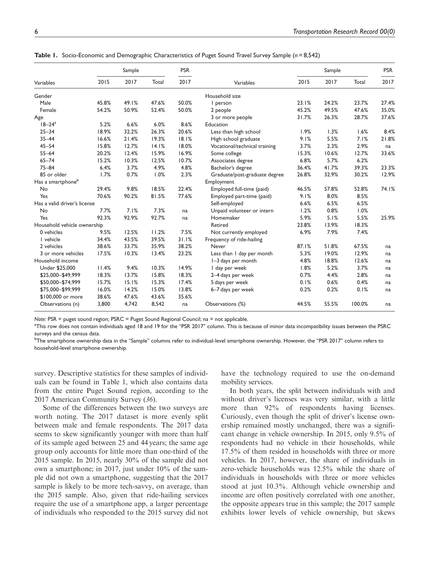|                               | Sample |       |         | <b>PSR</b> |                               | Sample |       |        | <b>PSR</b> |
|-------------------------------|--------|-------|---------|------------|-------------------------------|--------|-------|--------|------------|
| Variables                     | 2015   | 2017  | Total   | 2017       | Variables                     | 2015   | 2017  | Total  | 2017       |
| Gender                        |        |       |         |            | Household size                |        |       |        |            |
| Male                          | 45.8%  | 49.1% | 47.6%   | 50.0%      | I person                      | 23.1%  | 24.2% | 23.7%  | 27.4%      |
| Female                        | 54.2%  | 50.9% | 52.4%   | 50.0%      | 2 people                      | 45.2%  | 49.5% | 47.6%  | 35.0%      |
| Age                           |        |       |         |            | 3 or more people              | 31.7%  | 26.3% | 28.7%  | 37.6%      |
| $18 - 24^a$                   | 5.2%   | 6.6%  | 6.0%    | 8.6%       | Education                     |        |       |        |            |
| $25 - 34$                     | 18.9%  | 32.2% | 26.3%   | 20.6%      | Less than high school         | 1.9%   | 1.3%  | 1.6%   | 8.4%       |
| $35 - 44$                     | 16.6%  | 21.4% | 19.3%   | 18.1%      | High school graduate          | 9.1%   | 5.5%  | 7.1%   | 21.8%      |
| $45 - 54$                     | 15.8%  | 12.7% | 14.1%   | 18.0%      | Vocational/technical training | 3.7%   | 2.3%  | 2.9%   | na         |
| $55 - 64$                     | 20.2%  | 12.4% | 15.9%   | 16.9%      | Some college                  | 15.3%  | 10.6% | 12.7%  | 33.6%      |
| $65 - 74$                     | 15.2%  | 10.3% | 12.5%   | 10.7%      | Associates degree             | 6.8%   | 5.7%  | 6.2%   |            |
| $75 - 84$                     | 6.4%   | 3.7%  | 4.9%    | 4.8%       | Bachelor's degree             | 36.4%  | 41.7% | 39.3%  | 23.3%      |
| 85 or older                   | 1.7%   | 0.7%  | 1.0%    | 2.3%       | Graduate/post-graduate degree | 26.8%  | 32.9% | 30.2%  | 12.9%      |
| Has a smartphone <sup>b</sup> |        |       |         |            | Employment                    |        |       |        |            |
| No                            | 29.4%  | 9.8%  | 18.5%   | 22.4%      | Employed full-time (paid)     | 46.5%  | 57.8% | 52.8%  | 74.1%      |
| Yes                           | 70.6%  | 90.2% | 81.5%   | 77.6%      | Employed part-time (paid)     | 9.1%   | 8.0%  | 8.5%   |            |
| Has a valid driver's license  |        |       |         |            | Self-employed                 | 6.6%   | 6.5%  | 6.5%   |            |
| No                            | 7.7%   | 7.1%  | 7.3%    | na         | Unpaid volunteer or intern    | 1.2%   | 0.8%  | 1.0%   |            |
| Yes                           | 92.3%  | 92.9% | 92.7%   | na         | Homemaker                     | 5.9%   | 5.1%  | 5.5%   | 25.9%      |
| Household vehicle ownership   |        |       | Retired | 23.8%      | 13.9%                         | 18.3%  |       |        |            |
| 0 vehicles                    | 9.5%   | 12.5% | 11.2%   | 7.5%       | Not currently employed        | 6.9%   | 7.9%  | 7.4%   |            |
| I vehicle                     | 34.4%  | 43.5% | 39.5%   | 31.1%      | Frequency of ride-hailing     |        |       |        |            |
| 2 vehicles                    | 38.6%  | 33.7% | 35.9%   | 38.2%      | Never                         | 87.1%  | 51.8% | 67.5%  | na         |
| 3 or more vehicles            | 17.5%  | 10.3% | 13.4%   | 23.2%      | Less than I day per month     | 5.3%   | 19.0% | 12.9%  | na         |
| Household income              |        |       |         |            | I-3 days per month            | 4.8%   | 18.8% | 12.6%  | na         |
| Under \$25,000                | 11.4%  | 9.4%  | 10.3%   | 14.9%      | I day per week                | 1.8%   | 5.2%  | 3.7%   | na         |
| \$25,000-\$49,999             | 18.3%  | 13.7% | 15.8%   | 18.3%      | 2-4 days per week             | 0.7%   | 4.4%  | 2.8%   | na         |
| \$50,000-\$74,999             | 15.7%  | 15.1% | 15.3%   | 17.4%      | 5 days per week               | 0.1%   | 0.6%  | 0.4%   | na         |
| \$75,000-\$99,999             | 16.0%  | 14.2% | 15.0%   | 13.8%      | 6-7 days per week             | 0.2%   | 0.2%  | 0.1%   | na         |
| \$100,000 or more             | 38.6%  | 47.6% | 43.6%   | 35.6%      |                               |        |       |        |            |
| Observations (n)              | 3,800  | 4,742 | 8,542   | na         | Observations (%)              | 44.5%  | 55.5% | 100.0% | na         |

Table 1. Socio-Economic and Demographic Characteristics of Puget Sound Travel Survey Sample ( $n = 8,542$ )

Note: PSR = puget sound region; PSRC = Puget Sound Regional Council; na = not applicable.

a This row does not contain individuals aged 18 and 19 for the ''PSR 2017'' column. This is because of minor data incompatibility issues between the PSRC surveys and the census data.

<sup>b</sup>The smartphone ownership data in the "Sample" columns refer to individual-level smartphone ownership. However, the "PSR 2017" column refers to household-level smartphone ownership.

survey. Descriptive statistics for these samples of individuals can be found in Table 1, which also contains data from the entire Puget Sound region, according to the 2017 American Community Survey (*36*).

Some of the differences between the two surveys are worth noting. The 2017 dataset is more evenly split between male and female respondents. The 2017 data seems to skew significantly younger with more than half of its sample aged between 25 and 44 years; the same age group only accounts for little more than one-third of the 2015 sample. In 2015, nearly 30% of the sample did not own a smartphone; in 2017, just under 10% of the sample did not own a smartphone, suggesting that the 2017 sample is likely to be more tech-savvy, on average, than the 2015 sample. Also, given that ride-hailing services require the use of a smartphone app, a larger percentage of individuals who responded to the 2015 survey did not have the technology required to use the on-demand mobility services.

In both years, the split between individuals with and without driver's licenses was very similar, with a little more than 92% of respondents having licenses. Curiously, even though the split of driver's license ownership remained mostly unchanged, there was a significant change in vehicle ownership. In 2015, only 9.5% of respondents had no vehicle in their households, while 17.5% of them resided in households with three or more vehicles. In 2017, however, the share of individuals in zero-vehicle households was 12.5% while the share of individuals in households with three or more vehicles stood at just 10.3%. Although vehicle ownership and income are often positively correlated with one another, the opposite appears true in this sample; the 2017 sample exhibits lower levels of vehicle ownership, but skews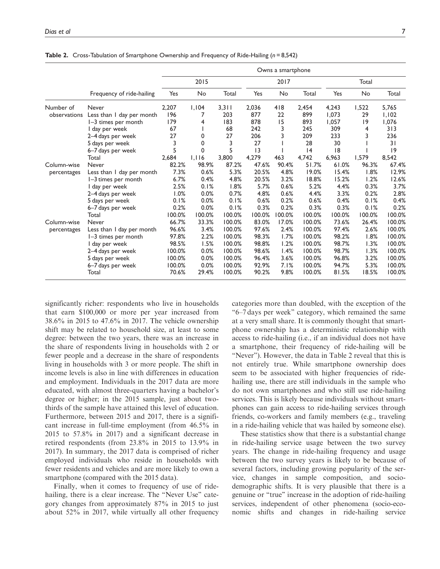|                            |                           | Owns a smartphone |        |        |        |        |        |        |        |        |
|----------------------------|---------------------------|-------------------|--------|--------|--------|--------|--------|--------|--------|--------|
|                            |                           | 2015              |        |        | 2017   |        |        | Total  |        |        |
|                            | Frequency of ride-hailing | Yes               | No     | Total  | Yes    | No     | Total  | Yes    | No     | Total  |
| Number of                  | <b>Never</b>              | 2,207             | 1,104  | 3,311  | 2,036  | 418    | 2,454  | 4,243  | 1,522  | 5,765  |
| observations               | Less than I day per month | 196               | 7      | 203    | 877    | 22     | 899    | 1.073  | 29     | 1,102  |
|                            | I-3 times per month       | 179               | 4      | 183    | 878    | 15     | 893    | 1.057  | 9      | 1,076  |
|                            | I day per week            | 67                |        | 68     | 242    | 3      | 245    | 309    | 4      | 313    |
|                            | 2-4 days per week         | 27                | 0      | 27     | 206    | 3      | 209    | 233    | 3      | 236    |
|                            | 5 days per week           | 3                 | 0      | 3      | 27     |        | 28     | 30     |        | 31     |
|                            | 6-7 days per week         | 5                 | 0      | 5      | 3      |        | 4      | 8      |        | 9      |
|                            | Total                     | 2,684             | 1.116  | 3,800  | 4,279  | 463    | 4,742  | 6,963  | 1.579  | 8,542  |
| Column-wise                | <b>Never</b>              | 82.2%             | 98.9%  | 87.2%  | 47.6%  | 90.4%  | 51.7%  | 61.0%  | 96.3%  | 67.4%  |
| percentages                | Less than I day per month | 7.3%              | 0.6%   | 5.3%   | 20.5%  | 4.8%   | 19.0%  | 15.4%  | 1.8%   | 12.9%  |
|                            | I-3 times per month       | 6.7%              | 0.4%   | 4.8%   | 20.5%  | 3.2%   | 18.8%  | 15.2%  | 1.2%   | 12.6%  |
|                            | I day per week            | 2.5%              | 0.1%   | 1.8%   | 5.7%   | 0.6%   | 5.2%   | 4.4%   | 0.3%   | 3.7%   |
|                            | 2-4 days per week         | 1.0%              | 0.0%   | 0.7%   | 4.8%   | 0.6%   | 4.4%   | 3.3%   | 0.2%   | 2.8%   |
|                            | 5 days per week           | 0.1%              | 0.0%   | 0.1%   | 0.6%   | 0.2%   | 0.6%   | 0.4%   | 0.1%   | 0.4%   |
|                            | 6–7 days per week         | 0.2%              | 0.0%   | 0.1%   | 0.3%   | 0.2%   | 0.3%   | 0.3%   | 0.1%   | 0.2%   |
|                            | Total                     | 100.0%            | 100.0% | 100.0% | 100.0% | 100.0% | 100.0% | 100.0% | 100.0% | 100.0% |
| Column-wise<br>percentages | <b>Never</b>              | 66.7%             | 33.3%  | 100.0% | 83.0%  | 17.0%  | 100.0% | 73.6%  | 26.4%  | 100.0% |
|                            | Less than I day per month | 96.6%             | 3.4%   | 100.0% | 97.6%  | 2.4%   | 100.0% | 97.4%  | 2.6%   | 100.0% |
|                            | I-3 times per month       | 97.8%             | 2.2%   | 100.0% | 98.3%  | 1.7%   | 100.0% | 98.2%  | 1.8%   | 100.0% |
|                            | I day per week            | 98.5%             | 1.5%   | 100.0% | 98.8%  | 1.2%   | 100.0% | 98.7%  | 1.3%   | 100.0% |
|                            | 2-4 days per week         | 100.0%            | 0.0%   | 100.0% | 98.6%  | 1.4%   | 100.0% | 98.7%  | 1.3%   | 100.0% |
|                            | 5 days per week           | 100.0%            | 0.0%   | 100.0% | 96.4%  | 3.6%   | 100.0% | 96.8%  | 3.2%   | 100.0% |
|                            | 6-7 days per week         | 100.0%            | 0.0%   | 100.0% | 92.9%  | 7.1%   | 100.0% | 94.7%  | 5.3%   | 100.0% |
|                            | Total                     | 70.6%             | 29.4%  | 100.0% | 90.2%  | 9.8%   | 100.0% | 81.5%  | 18.5%  | 100.0% |

Table 2. Cross-Tabulation of Smartphone Ownership and Frequency of Ride-Hailing ( $n = 8,542$ )

significantly richer: respondents who live in households that earn \$100,000 or more per year increased from 38.6% in 2015 to 47.6% in 2017. The vehicle ownership shift may be related to household size, at least to some degree: between the two years, there was an increase in the share of respondents living in households with 2 or fewer people and a decrease in the share of respondents living in households with 3 or more people. The shift in income levels is also in line with differences in education and employment. Individuals in the 2017 data are more educated, with almost three-quarters having a bachelor's degree or higher; in the 2015 sample, just about twothirds of the sample have attained this level of education. Furthermore, between 2015 and 2017, there is a significant increase in full-time employment (from 46.5% in 2015 to 57.8% in 2017) and a significant decrease in retired respondents (from 23.8% in 2015 to 13.9% in 2017). In summary, the 2017 data is comprised of richer employed individuals who reside in households with fewer residents and vehicles and are more likely to own a smartphone (compared with the 2015 data).

Finally, when it comes to frequency of use of ridehailing, there is a clear increase. The "Never Use" category changes from approximately 87% in 2015 to just about 52% in 2017, while virtually all other frequency

categories more than doubled, with the exception of the ''6–7 days per week'' category, which remained the same at a very small share. It is commonly thought that smartphone ownership has a deterministic relationship with access to ride-hailing (i.e., if an individual does not have a smartphone, their frequency of ride-hailing will be "Never"). However, the data in Table 2 reveal that this is not entirely true. While smartphone ownership does seem to be associated with higher frequencies of ridehailing use, there are still individuals in the sample who do not own smartphones and who still use ride-hailing services. This is likely because individuals without smartphones can gain access to ride-hailing services through friends, co-workers and family members (e.g., traveling in a ride-hailing vehicle that was hailed by someone else).

These statistics show that there is a substantial change in ride-hailing service usage between the two survey years. The change in ride-hailing frequency and usage between the two survey years is likely to be because of several factors, including growing popularity of the service, changes in sample composition, and sociodemographic shifts. It is very plausible that there is a genuine or ''true'' increase in the adoption of ride-hailing services, independent of other phenomena (socio-economic shifts and changes in ride-hailing service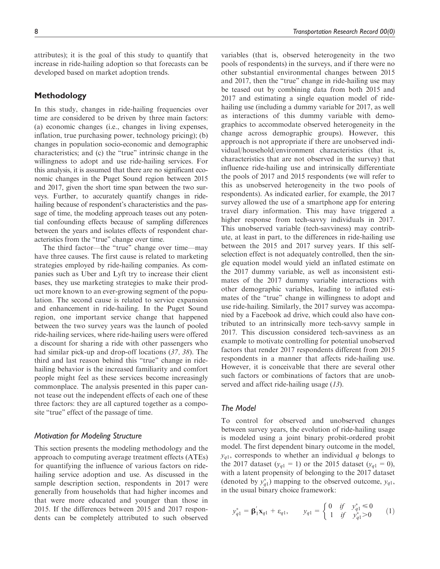attributes); it is the goal of this study to quantify that increase in ride-hailing adoption so that forecasts can be developed based on market adoption trends.

## Methodology

In this study, changes in ride-hailing frequencies over time are considered to be driven by three main factors: (a) economic changes (i.e., changes in living expenses, inflation, true purchasing power, technology pricing); (b) changes in population socio-economic and demographic characteristics; and (c) the "true" intrinsic change in the willingness to adopt and use ride-hailing services. For this analysis, it is assumed that there are no significant economic changes in the Puget Sound region between 2015 and 2017, given the short time span between the two surveys. Further, to accurately quantify changes in ridehailing because of respondent's characteristics and the passage of time, the modeling approach teases out any potential confounding effects because of sampling differences between the years and isolates effects of respondent characteristics from the ''true'' change over time.

The third factor—the "true" change over time—may have three causes. The first cause is related to marketing strategies employed by ride-hailing companies. As companies such as Uber and Lyft try to increase their client bases, they use marketing strategies to make their product more known to an ever-growing segment of the population. The second cause is related to service expansion and enhancement in ride-hailing. In the Puget Sound region, one important service change that happened between the two survey years was the launch of pooled ride-hailing services, where ride-hailing users were offered a discount for sharing a ride with other passengers who had similar pick-up and drop-off locations (*37, 38*). The third and last reason behind this ''true'' change in ridehailing behavior is the increased familiarity and comfort people might feel as these services become increasingly commonplace. The analysis presented in this paper cannot tease out the independent effects of each one of these three factors: they are all captured together as a composite "true" effect of the passage of time.

## Motivation for Modeling Structure

This section presents the modeling methodology and the approach to computing average treatment effects (ATEs) for quantifying the influence of various factors on ridehailing service adoption and use. As discussed in the sample description section, respondents in 2017 were generally from households that had higher incomes and that were more educated and younger than those in 2015. If the differences between 2015 and 2017 respondents can be completely attributed to such observed

variables (that is, observed heterogeneity in the two pools of respondents) in the surveys, and if there were no other substantial environmental changes between 2015 and 2017, then the "true" change in ride-hailing use may be teased out by combining data from both 2015 and 2017 and estimating a single equation model of ridehailing use (including a dummy variable for 2017, as well as interactions of this dummy variable with demographics to accommodate observed heterogeneity in the change across demographic groups). However, this approach is not appropriate if there are unobserved individual/household/environment characteristics (that is, characteristics that are not observed in the survey) that influence ride-hailing use and intrinsically differentiate the pools of 2017 and 2015 respondents (we will refer to this as unobserved heterogeneity in the two pools of respondents). As indicated earlier, for example, the 2017 survey allowed the use of a smartphone app for entering travel diary information. This may have triggered a higher response from tech-savvy individuals in 2017. This unobserved variable (tech-savviness) may contribute, at least in part, to the differences in ride-hailing use between the 2015 and 2017 survey years. If this selfselection effect is not adequately controlled, then the single equation model would yield an inflated estimate on the 2017 dummy variable, as well as inconsistent estimates of the 2017 dummy variable interactions with other demographic variables, leading to inflated estimates of the "true" change in willingness to adopt and use ride-hailing. Similarly, the 2017 survey was accompanied by a Facebook ad drive, which could also have contributed to an intrinsically more tech-savvy sample in 2017. This discussion considered tech-savviness as an example to motivate controlling for potential unobserved factors that render 2017 respondents different from 2015 respondents in a manner that affects ride-hailing use. However, it is conceivable that there are several other such factors or combinations of factors that are unobserved and affect ride-hailing usage (*13*).

# The Model

To control for observed and unobserved changes between survey years, the evolution of ride-hailing usage is modeled using a joint binary probit-ordered probit model. The first dependent binary outcome in the model,  $y_{q1}$ , corresponds to whether an individual  $q$  belongs to the 2017 dataset  $(y_{q1} = 1)$  or the 2015 dataset  $(y_{q1} = 0)$ , with a latent propensity of belonging to the 2017 dataset (denoted by  $y_{q1}^*$ ) mapping to the observed outcome,  $y_{q1}$ , in the usual binary choice framework:

$$
y_{q1}^* = \mathbf{\beta}_1^{\'} \mathbf{x}_{q1} + \varepsilon_{q1}, \qquad y_{q1} = \begin{cases} 0 & \text{if} \quad y_{q1}^* \le 0 \\ 1 & \text{if} \quad y_{q1}^* > 0 \end{cases} \tag{1}
$$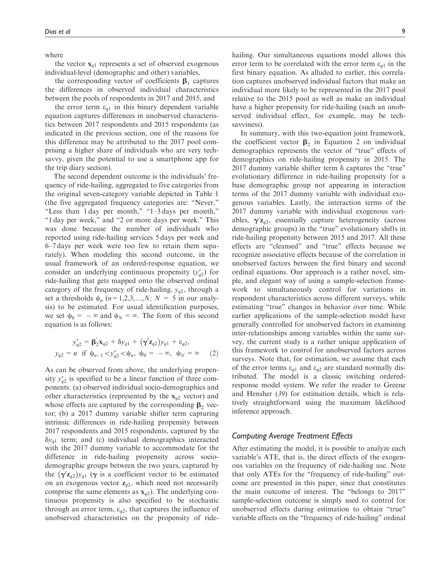where

the vector  $x_{q1}$  represents a set of observed exogenous individual-level (demographic and other) variables,

the corresponding vector of coefficients  $\beta_1$  captures the differences in observed individual characteristics between the pools of respondents in 2017 and 2015, and

the error term  $\varepsilon_{q1}$  in this binary dependent variable equation captures differences in unobserved characteristics between 2017 respondents and 2015 respondents (as indicated in the previous section, one of the reasons for this difference may be attributed to the 2017 pool comprising a higher share of individuals who are very techsavvy, given the potential to use a smartphone app for the trip diary section).

The second dependent outcome is the individuals' frequency of ride-hailing, aggregated to five categories from the original seven-category variable depicted in Table 1 (the five aggregated frequency categories are: ''Never,'' ''Less than 1 day per month,'' ''1–3 days per month,'' "1 day per week," and "2 or more days per week." This was done because the number of individuals who reported using ride-hailing services 5 days per week and 6–7 days per week were too few to retain them separately). When modeling this second outcome, in the usual framework of an ordered-response equation, we consider an underlying continuous propensity  $(y_{q2}^*)$  for ride-hailing that gets mapped onto the observed ordinal category of the frequency of ride-hailing,  $y_{q2}$ , through a set a thresholds  $\psi_n$  ( $n=1,2,3,...,N$ ;  $N = 5$  in our analysis) to be estimated. For usual identification purposes, we set  $\psi_0 = -\infty$  and  $\psi_N = \infty$ . The form of this second equation is as follows:

$$
y_{q2}^* = \mathbf{\beta}_2' \mathbf{x}_{q2} + \delta y_{q1} + (\mathbf{\gamma}' \mathbf{z}_{q2}) y_{q1} + \varepsilon_{q2},
$$
  

$$
y_{q2} = n \text{ if } \psi_{n-1} < y_{q2}^* < \psi_n, \ \psi_0 = -\infty, \ \psi_N = \infty \tag{2}
$$

As can be observed from above, the underlying propensity  $y_{q2}^*$  is specified to be a linear function of three components: (a) observed individual socio-demographics and other characteristics (represented by the  $x_{q2}$  vector) and whose effects are captured by the corresponding  $\beta_2$  vector; (b) a 2017 dummy variable shifter term capturing intrinsic differences in ride-hailing propensity between 2017 respondents and 2015 respondents, captured by the  $\delta y_{q1}$  term; and (c) individual demographics interacted with the 2017 dummy variable to accommodate for the difference in ride-hailing propensity across sociodemographic groups between the two years, captured by the  $(\gamma' \mathbf{z}_{q2}) y_{q1}$  ( $\gamma$  is a coefficient vector to be estimated on an exogenous vector  $z_{q2}$ , which need not necessarily comprise the same elements as  $x_{q2}$ ). The underlying continuous propensity is also specified to be stochastic through an error term,  $\varepsilon_{q2}$ , that captures the influence of unobserved characteristics on the propensity of ridehailing. Our simultaneous equations model allows this error term to be correlated with the error term  $\varepsilon_{q1}$  in the first binary equation. As alluded to earlier, this correlation captures unobserved individual factors that make an individual more likely to be represented in the 2017 pool relative to the 2015 pool as well as make an individual have a higher propensity for ride-hailing (such an unobserved individual effect, for example, may be techsavviness).

In summary, with this two-equation joint framework, the coefficient vector  $\beta_2$  in Equation 2 on individual demographics represents the vector of ''true'' effects of demographics on ride-hailing propensity in 2015. The 2017 dummy variable shifter term  $\delta$  captures the "true" evolutionary difference in ride-hailing propensity for a base demographic group not appearing in interaction terms of the 2017 dummy variable with individual exogenous variables. Lastly, the interaction terms of the 2017 dummy variable with individual exogenous variables,  $\gamma' \mathbf{z}_{q2}$ , essentially capture heterogeneity (across demographic groups) in the "true" evolutionary shifts in ride-hailing propensity between 2015 and 2017. All these effects are ''cleansed'' and ''true'' effects because we recognize associative effects because of the correlation in unobserved factors between the first binary and second ordinal equations. Our approach is a rather novel, simple, and elegant way of using a sample-selection framework to simultaneously control for variations in respondent characteristics across different surveys, while estimating "true" changes in behavior over time. While earlier applications of the sample-selection model have generally controlled for unobserved factors in examining inter-relationships among variables within the same survey, the current study is a rather unique application of this framework to control for unobserved factors across surveys. Note that, for estimation, we assume that each of the error terms  $\varepsilon_{q1}$  and  $\varepsilon_{q2}$  are standard normally distributed. The model is a classic switching orderedresponse model system. We refer the reader to Greene and Hensher (*39*) for estimation details, which is relatively straightforward using the maximum likelihood inference approach.

## Computing Average Treatment Effects

After estimating the model, it is possible to analyze each variable's ATE, that is, the direct effects of the exogenous variables on the frequency of ride-hailing use. Note that only ATEs for the ''frequency of ride-hailing'' outcome are presented in this paper, since that constitutes the main outcome of interest. The ''belongs to 2017'' sample-selection outcome is simply used to control for unobserved effects during estimation to obtain ''true'' variable effects on the ''frequency of ride-hailing'' ordinal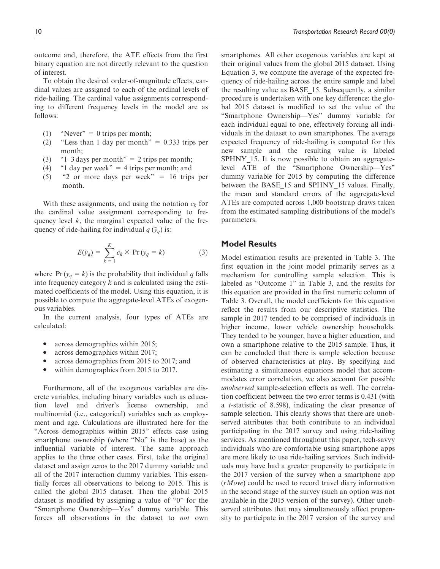outcome and, therefore, the ATE effects from the first binary equation are not directly relevant to the question of interest.

To obtain the desired order-of-magnitude effects, cardinal values are assigned to each of the ordinal levels of ride-hailing. The cardinal value assignments corresponding to different frequency levels in the model are as follows:

- (1) "Never" = 0 trips per month;
- (2) "Less than 1 day per month" =  $0.333$  trips per month;
- (3)  $"1-3 \text{ days per month" = 2 \text{ trips per month};$
- (4)  $\degree$  '1 day per week" = 4 trips per month; and
- $(5)$  "2 or more days per week" = 16 trips per month.

With these assignments, and using the notation  $c_k$  for the cardinal value assignment corresponding to frequency level *k*, the marginal expected value of the frequency of ride-hailing for individual  $q(\tilde{y}_q)$  is:

$$
E(\tilde{y}_q) = \sum_{k=1}^{K} c_k \times \Pr(y_q = k)
$$
 (3)

where  $Pr(y_q = k)$  is the probability that individual *q* falls into frequency category *k* and is calculated using the estimated coefficients of the model. Using this equation, it is possible to compute the aggregate-level ATEs of exogenous variables.

In the current analysis, four types of ATEs are calculated:

- $\bullet$ across demographics within 2015;
- $\bullet$ across demographics within 2017;
- $\bullet$ across demographics from 2015 to 2017; and
- $\bullet$ within demographics from 2015 to 2017.

Furthermore, all of the exogenous variables are discrete variables, including binary variables such as education level and driver's license ownership, and multinomial (i.e., categorical) variables such as employment and age. Calculations are illustrated here for the "Across demographics within 2015" effects case using smartphone ownership (where "No" is the base) as the influential variable of interest. The same approach applies to the three other cases. First, take the original dataset and assign zeros to the 2017 dummy variable and all of the 2017 interaction dummy variables. This essentially forces all observations to belong to 2015. This is called the global 2015 dataset. Then the global 2015 dataset is modified by assigning a value of ''0'' for the ''Smartphone Ownership—Yes'' dummy variable. This forces all observations in the dataset to *not* own

smartphones. All other exogenous variables are kept at their original values from the global 2015 dataset. Using Equation 3, we compute the average of the expected frequency of ride-hailing across the entire sample and label the resulting value as BASE\_15. Subsequently, a similar procedure is undertaken with one key difference: the global 2015 dataset is modified to set the value of the ''Smartphone Ownership—Yes'' dummy variable for each individual equal to one, effectively forcing all individuals in the dataset to own smartphones. The average expected frequency of ride-hailing is computed for this new sample and the resulting value is labeled SPHNY 15. It is now possible to obtain an aggregatelevel ATE of the ''Smartphone Ownership—Yes'' dummy variable for 2015 by computing the difference between the BASE 15 and SPHNY 15 values. Finally, the mean and standard errors of the aggregate-level ATEs are computed across 1,000 bootstrap draws taken from the estimated sampling distributions of the model's parameters.

## Model Results

Model estimation results are presented in Table 3. The first equation in the joint model primarily serves as a mechanism for controlling sample selection. This is labeled as "Outcome 1" in Table 3, and the results for this equation are provided in the first numeric column of Table 3. Overall, the model coefficients for this equation reflect the results from our descriptive statistics. The sample in 2017 tended to be comprised of individuals in higher income, lower vehicle ownership households. They tended to be younger, have a higher education, and own a smartphone relative to the 2015 sample. Thus, it can be concluded that there is sample selection because of observed characteristics at play. By specifying and estimating a simultaneous equations model that accommodates error correlation, we also account for possible *unobserved* sample-selection effects as well. The correlation coefficient between the two error terms is 0.431 (with a *t*-statistic of 8.598), indicating the clear presence of sample selection. This clearly shows that there are unobserved attributes that both contribute to an individual participating in the 2017 survey and using ride-hailing services. As mentioned throughout this paper, tech-savvy individuals who are comfortable using smartphone apps are more likely to use ride-hailing services. Such individuals may have had a greater propensity to participate in the 2017 version of the survey when a smartphone app (*rMove*) could be used to record travel diary information in the second stage of the survey (such an option was not available in the 2015 version of the survey). Other unobserved attributes that may simultaneously affect propensity to participate in the 2017 version of the survey and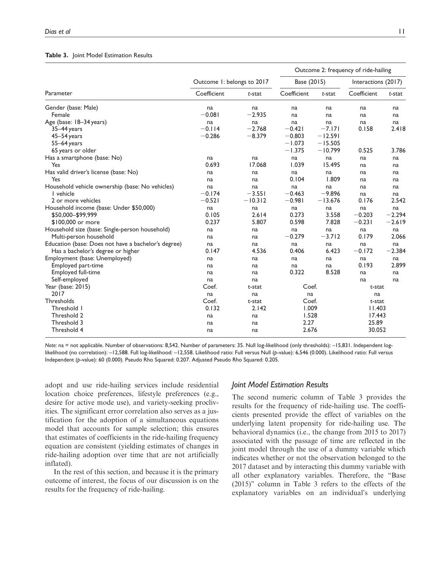## Table 3. Joint Model Estimation Results

|                                                     |                            |           | Outcome 2: frequency of ride-hailing |           |                     |          |  |
|-----------------------------------------------------|----------------------------|-----------|--------------------------------------|-----------|---------------------|----------|--|
|                                                     | Outcome 1: belongs to 2017 |           | Base (2015)                          |           | Interactions (2017) |          |  |
| Parameter                                           | Coefficient                | $t$ -stat | Coefficient                          | $t$ -stat | Coefficient         | t-stat   |  |
| Gender (base: Male)                                 | na                         | na        | na                                   | na        | na                  | na       |  |
| Female                                              | $-0.081$                   | $-2.935$  | na                                   | na        | na                  | na       |  |
| Age (base: 18-34 years)                             | na                         | na        | na                                   | na        | na                  | na       |  |
| 35-44 years                                         | $-0.114$                   | $-2.768$  | $-0.421$                             | $-7.171$  | 0.158               | 2.418    |  |
| 45-54 years                                         | $-0.286$                   | $-8.379$  | $-0.803$                             | $-12.591$ |                     |          |  |
| 55-64 years                                         |                            |           | $-1.073$                             | $-15.505$ |                     |          |  |
| 65 years or older                                   |                            |           | $-1.375$                             | $-10.799$ | 0.525               | 3.786    |  |
| Has a smartphone (base: No)                         | na                         | na        | na                                   | na        | na                  | na       |  |
| Yes                                                 | 0.693                      | 17.068    | 1.039                                | 15.495    | na                  | na       |  |
| Has valid driver's license (base: No)               | na                         | na        | na                                   | na        | na                  | na       |  |
| Yes                                                 | na                         | na        | 0.104                                | 1.809     | na                  | na       |  |
| Household vehicle ownership (base: No vehicles)     | na                         | na        | na                                   | na        | na                  | na       |  |
| I vehicle                                           | $-0.174$                   | $-3.551$  | $-0.463$                             | $-9.896$  | na                  | na       |  |
| 2 or more vehicles                                  | $-0.521$                   | $-10.312$ | $-0.981$                             | $-13.676$ | 0.176               | 2.542    |  |
| Household income (base: Under \$50,000)             | na                         | na        | na                                   | na        | na                  | na       |  |
| \$50,000-\$99,999                                   | 0.105                      | 2.614     | 0.273                                | 3.558     | $-0.203$            | $-2.294$ |  |
| \$100,000 or more                                   | 0.237                      | 5.807     | 0.598                                | 7.828     | $-0.231$            | $-2.619$ |  |
| Household size (base: Single-person household)      | na                         | na        | na                                   | na        | na                  | na       |  |
| Multi-person household                              | na                         | na        | $-0.279$                             | $-3.712$  | 0.179               | 2.066    |  |
| Education (base: Does not have a bachelor's degree) | na                         | na        | na                                   | na        | na                  | na       |  |
| Has a bachelor's degree or higher                   | 0.147                      | 4.536     | 0.406                                | 6.423     | $-0.172$            | $-2.384$ |  |
| Employment (base: Unemployed)                       | na                         | na        | na                                   | na        | na                  | na       |  |
| Employed part-time                                  | na                         | na        | na                                   | na        | 0.193               | 2.899    |  |
| Employed full-time                                  | na                         | na        | 0.322                                | 8.528     | na                  | na       |  |
| Self-employed                                       | na                         | na        |                                      |           | na                  | na       |  |
| Year (base: 2015)                                   | Coef.                      | t-stat    | Coef.                                |           | t-stat              |          |  |
| 2017                                                | na                         | na        | na                                   |           | na                  |          |  |
| Thresholds                                          | Coef.                      | t-stat    | Coef.                                |           | t-stat              |          |  |
| Threshold I                                         | 0.132                      | 2.142     | 1.009                                |           | 11.403              |          |  |
| Threshold 2                                         | na                         | na        |                                      | 1.528     |                     | 17.443   |  |
| Threshold 3                                         | na                         | na        | 2.27                                 |           |                     | 25.89    |  |
| Threshold 4                                         | na                         | na        | 2.676                                |           | 30.052              |          |  |

Note: na = not applicable. Number of observations: 8,542. Number of parameters: 35. Null log-likelihood (only thresholds): –15,831. Independent loglikelihood (no correlation): –12,588. Full log-likelihood: –12,558. Likelihood ratio: Full versus Null (p-value): 6,546 (0.000). Likelihood ratio: Full versus Independent (p-value): 60 (0.000). Pseudo Rho Squared: 0.207. Adjusted Pseudo Rho Squared: 0.205.

adopt and use ride-hailing services include residential location choice preferences, lifestyle preferences (e.g., desire for active mode use), and variety-seeking proclivities. The significant error correlation also serves as a justification for the adoption of a simultaneous equations model that accounts for sample selection; this ensures that estimates of coefficients in the ride-hailing frequency equation are consistent (yielding estimates of changes in ride-hailing adoption over time that are not artificially inflated).

In the rest of this section, and because it is the primary outcome of interest, the focus of our discussion is on the results for the frequency of ride-hailing.

#### Joint Model Estimation Results

The second numeric column of Table 3 provides the results for the frequency of ride-hailing use. The coefficients presented provide the effect of variables on the underlying latent propensity for ride-hailing use. The behavioral dynamics (i.e., the change from 2015 to 2017) associated with the passage of time are reflected in the joint model through the use of a dummy variable which indicates whether or not the observation belonged to the 2017 dataset and by interacting this dummy variable with all other explanatory variables. Therefore, the ''Base (2015)'' column in Table 3 refers to the effects of the explanatory variables on an individual's underlying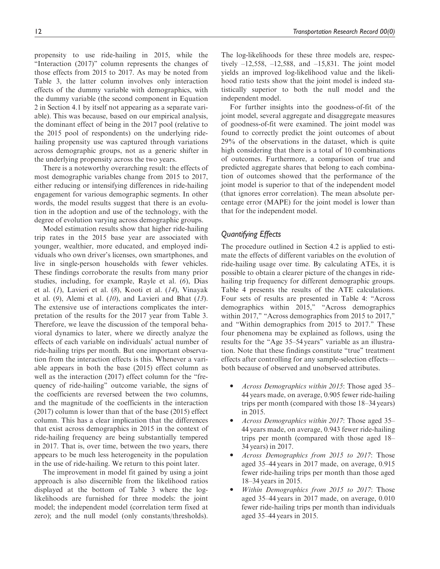propensity to use ride-hailing in 2015, while the ''Interaction (2017)'' column represents the changes of those effects from 2015 to 2017. As may be noted from Table 3, the latter column involves only interaction effects of the dummy variable with demographics, with the dummy variable (the second component in Equation 2 in Section 4.1 by itself not appearing as a separate variable). This was because, based on our empirical analysis, the dominant effect of being in the 2017 pool (relative to the 2015 pool of respondents) on the underlying ridehailing propensity use was captured through variations

the underlying propensity across the two years. There is a noteworthy overarching result: the effects of most demographic variables change from 2015 to 2017, either reducing or intensifying differences in ride-hailing engagement for various demographic segments. In other words, the model results suggest that there is an evolution in the adoption and use of the technology, with the degree of evolution varying across demographic groups.

across demographic groups, not as a generic shifter in

Model estimation results show that higher ride-hailing trip rates in the 2015 base year are associated with younger, wealthier, more educated, and employed individuals who own driver's licenses, own smartphones, and live in single-person households with fewer vehicles. These findings corroborate the results from many prior studies, including, for example, Rayle et al. (*6*), Dias et al. (*1*), Lavieri et al. (*8*), Kooti et al. (*14*), Vinayak et al. (*9*), Alemi et al. (*10*), and Lavieri and Bhat (*13*). The extensive use of interactions complicates the interpretation of the results for the 2017 year from Table 3. Therefore, we leave the discussion of the temporal behavioral dynamics to later, where we directly analyze the effects of each variable on individuals' actual number of ride-hailing trips per month. But one important observation from the interaction effects is this. Whenever a variable appears in both the base (2015) effect column as well as the interaction (2017) effect column for the "frequency of ride-hailing'' outcome variable, the signs of the coefficients are reversed between the two columns, and the magnitude of the coefficients in the interaction (2017) column is lower than that of the base (2015) effect column. This has a clear implication that the differences that exist across demographics in 2015 in the context of ride-hailing frequency are being substantially tempered in 2017. That is, over time, between the two years, there appears to be much less heterogeneity in the population in the use of ride-hailing. We return to this point later.

The improvement in model fit gained by using a joint approach is also discernible from the likelihood ratios displayed at the bottom of Table 3 where the loglikelihoods are furnished for three models: the joint model; the independent model (correlation term fixed at zero); and the null model (only constants/thresholds).

The log-likelihoods for these three models are, respectively  $-12,558, -12,588,$  and  $-15,831$ . The joint model yields an improved log-likelihood value and the likelihood ratio tests show that the joint model is indeed statistically superior to both the null model and the independent model.

For further insights into the goodness-of-fit of the joint model, several aggregate and disaggregate measures of goodness-of-fit were examined. The joint model was found to correctly predict the joint outcomes of about 29% of the observations in the dataset, which is quite high considering that there is a total of 10 combinations of outcomes. Furthermore, a comparison of true and predicted aggregate shares that belong to each combination of outcomes showed that the performance of the joint model is superior to that of the independent model (that ignores error correlation). The mean absolute percentage error (MAPE) for the joint model is lower than that for the independent model.

# Quantifying Effects

The procedure outlined in Section 4.2 is applied to estimate the effects of different variables on the evolution of ride-hailing usage over time. By calculating ATEs, it is possible to obtain a clearer picture of the changes in ridehailing trip frequency for different demographic groups. Table 4 presents the results of the ATE calculations. Four sets of results are presented in Table 4: ''Across demographics within 2015,'' ''Across demographics within 2017," "Across demographics from 2015 to 2017," and ''Within demographics from 2015 to 2017.'' These four phenomena may be explained as follows, using the results for the "Age 35-54 years" variable as an illustration. Note that these findings constitute ''true'' treatment effects after controlling for any sample-selection effects both because of observed and unobserved attributes.

- $\bullet$  *Across Demographics within 2015*: Those aged 35– 44 years made, on average, 0.905 fewer ride-hailing trips per month (compared with those 18–34 years) in 2015.
- $\bullet$  *Across Demographics within 2017*: Those aged 35– 44 years made, on average, 0.943 fewer ride-hailing trips per month (compared with those aged 18– 34 years) in 2017.
- $\bullet$  *Across Demographics from 2015 to 2017*: Those aged 35–44 years in 2017 made, on average, 0.915 fewer ride-hailing trips per month than those aged 18–34 years in 2015.
- $\bullet$  *Within Demographics from 2015 to 2017*: Those aged 35–44 years in 2017 made, on average, 0.010 fewer ride-hailing trips per month than individuals aged 35–44 years in 2015.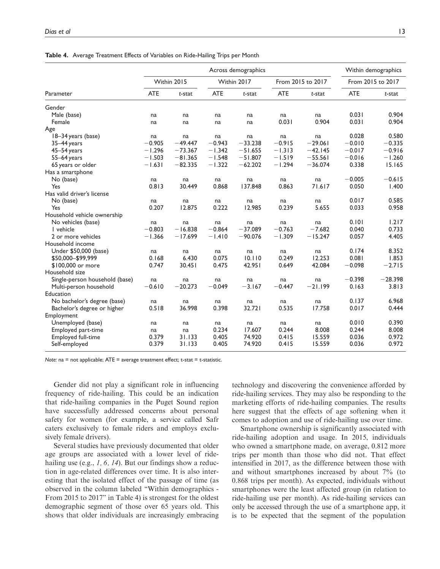|                                | Across demographics |             |            |             |                   |           |                   | Within demographics |  |
|--------------------------------|---------------------|-------------|------------|-------------|-------------------|-----------|-------------------|---------------------|--|
|                                |                     | Within 2015 |            | Within 2017 | From 2015 to 2017 |           | From 2015 to 2017 |                     |  |
| Parameter                      | <b>ATE</b>          | $t$ -stat   | <b>ATE</b> | $t$ -stat   | <b>ATE</b>        | t-stat    | <b>ATE</b>        | $t$ -stat           |  |
| Gender                         |                     |             |            |             |                   |           |                   |                     |  |
| Male (base)                    | na                  | na          | na         | na          | na                | na        | 0.031             | 0.904               |  |
| Female                         | na                  | na          | na         | na          | 0.031             | 0.904     | 0.031             | 0.904               |  |
| Age                            |                     |             |            |             |                   |           |                   |                     |  |
| 18-34 years (base)             | na                  | na          | na         | na          | na                | na        | 0.028             | 0.580               |  |
| 35-44 years                    | $-0.905$            | $-49.447$   | $-0.943$   | $-33.238$   | $-0.915$          | $-29.061$ | $-0.010$          | $-0.335$            |  |
| $45 - 54$ years                | $-1.296$            | $-73.367$   | $-1.342$   | $-51.655$   | $-1.313$          | $-42.145$ | $-0.017$          | $-0.916$            |  |
| $55 - 64$ years                | $-1.503$            | $-81.365$   | $-1.548$   | $-51.807$   | $-1.519$          | $-55.561$ | $-0.016$          | $-1.260$            |  |
| 65 years or older              | $-1.631$            | $-82.335$   | $-1.322$   | $-62.202$   | $-1.294$          | $-36.074$ | 0.338             | 15.165              |  |
| Has a smartphone               |                     |             |            |             |                   |           |                   |                     |  |
| No (base)                      | na                  | na          | na         | na          | na                | na        | $-0.005$          | $-0.615$            |  |
| Yes                            | 0.813               | 30.449      | 0.868      | 137.848     | 0.863             | 71.617    | 0.050             | 1.400               |  |
| Has valid driver's license     |                     |             |            |             |                   |           |                   |                     |  |
| No (base)                      | na                  | na          | na         | na          | na                | na        | 0.017             | 0.585               |  |
| Yes                            | 0.207               | 12.875      | 0.222      | 12.985      | 0.239             | 5.655     | 0.033             | 0.958               |  |
| Household vehicle ownership    |                     |             |            |             |                   |           |                   |                     |  |
| No vehicles (base)             | na                  | na          | na         | na          | na                | na        | 0.101             | 1.217               |  |
| I vehicle                      | $-0.803$            | $-16.838$   | $-0.864$   | $-37.089$   | $-0.763$          | $-7.682$  | 0.040             | 0.733               |  |
| 2 or more vehicles             | $-1.366$            | $-17.699$   | $-1.410$   | $-90.076$   | $-1.309$          | $-15.247$ | 0.057             | 4.405               |  |
| Household income               |                     |             |            |             |                   |           |                   |                     |  |
| Under \$50,000 (base)          | na                  | na          | na         | na          | na                | na        | 0.174             | 8.352               |  |
| \$50,000-\$99,999              | 0.168               | 6.430       | 0.075      | 10.110      | 0.249             | 12.253    | 0.081             | 1.853               |  |
| \$100,000 or more              | 0.747               | 30.451      | 0.475      | 42.951      | 0.649             | 42.084    | $-0.098$          | $-2.715$            |  |
| Household size                 |                     |             |            |             |                   |           |                   |                     |  |
| Single-person household (base) | na                  | na          | na         | na          | na                | na        | $-0.398$          | $-28.398$           |  |
| Multi-person household         | $-0.610$            | $-20.273$   | $-0.049$   | $-3.167$    | $-0.447$          | $-21.199$ | 0.163             | 3.813               |  |
| Education                      |                     |             |            |             |                   |           |                   |                     |  |
| No bachelor's degree (base)    | na                  | na          | na         | na          | na                | na        | 0.137             | 6.968               |  |
| Bachelor's degree or higher    | 0.518               | 36.998      | 0.398      | 32.721      | 0.535             | 17.758    | 0.017             | 0.444               |  |
| Employment                     |                     |             |            |             |                   |           |                   |                     |  |
| Unemployed (base)              | na                  | na          | na         | na          | na                | na        | 0.010             | 0.390               |  |
| Employed part-time             | na                  | na          | 0.234      | 17.607      | 0.244             | 8.008     | 0.244             | 8.008               |  |
| Employed full-time             | 0.379               | 31.133      | 0.405      | 74.920      | 0.415             | 15.559    | 0.036             | 0.972               |  |
| Self-employed                  | 0.379               | 31.133      | 0.405      | 74.920      | 0.415             | 15.559    | 0.036             | 0.972               |  |
|                                |                     |             |            |             |                   |           |                   |                     |  |

Table 4. Average Treatment Effects of Variables on Ride-Hailing Trips per Month

Note:  $na = not applicable; ATE = average treatment effect; t-stat = t-statistic.$ 

Gender did not play a significant role in influencing frequency of ride-hailing. This could be an indication that ride-hailing companies in the Puget Sound region have successfully addressed concerns about personal safety for women (for example, a service called Safr caters exclusively to female riders and employs exclusively female drivers).

Several studies have previously documented that older age groups are associated with a lower level of ridehailing use (e.g., *1, 6, 14*). But our findings show a reduction in age-related differences over time. It is also interesting that the isolated effect of the passage of time (as observed in the column labeled ''Within demographics - From 2015 to 2017" in Table 4) is strongest for the oldest demographic segment of those over 65 years old. This shows that older individuals are increasingly embracing technology and discovering the convenience afforded by ride-hailing services. They may also be responding to the marketing efforts of ride-hailing companies. The results here suggest that the effects of age softening when it comes to adoption and use of ride-hailing use over time.

Smartphone ownership is significantly associated with ride-hailing adoption and usage. In 2015, individuals who owned a smartphone made, on average, 0.812 more trips per month than those who did not. That effect intensified in 2017, as the difference between those with and without smartphones increased by about 7% (to 0.868 trips per month). As expected, individuals without smartphones were the least affected group (in relation to ride-hailing use per month). As ride-hailing services can only be accessed through the use of a smartphone app, it is to be expected that the segment of the population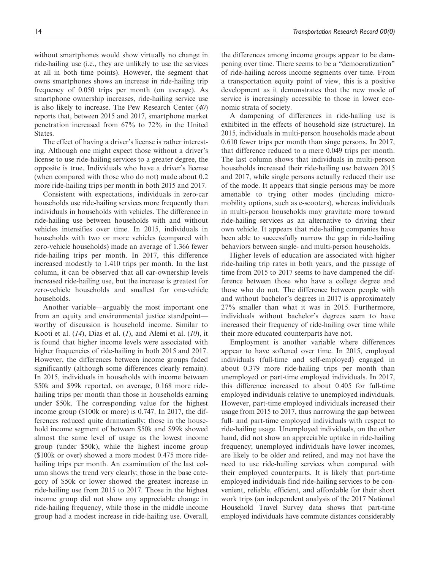without smartphones would show virtually no change in ride-hailing use (i.e., they are unlikely to use the services at all in both time points). However, the segment that owns smartphones shows an increase in ride-hailing trip frequency of 0.050 trips per month (on average). As smartphone ownership increases, ride-hailing service use is also likely to increase. The Pew Research Center (*40*) reports that, between 2015 and 2017, smartphone market penetration increased from 67% to 72% in the United States.

The effect of having a driver's license is rather interesting. Although one might expect those without a driver's license to use ride-hailing services to a greater degree, the opposite is true. Individuals who have a driver's license (when compared with those who do not) made about 0.2 more ride-hailing trips per month in both 2015 and 2017.

Consistent with expectations, individuals in zero-car households use ride-hailing services more frequently than individuals in households with vehicles. The difference in ride-hailing use between households with and without vehicles intensifies over time. In 2015, individuals in households with two or more vehicles (compared with zero-vehicle households) made an average of 1.366 fewer ride-hailing trips per month. In 2017, this difference increased modestly to 1.410 trips per month. In the last column, it can be observed that all car-ownership levels increased ride-hailing use, but the increase is greatest for zero-vehicle households and smallest for one-vehicle households.

Another variable—arguably the most important one from an equity and environmental justice standpoint worthy of discussion is household income. Similar to Kooti et al. (*14*), Dias et al. (*1*), and Alemi et al. (*10*), it is found that higher income levels were associated with higher frequencies of ride-hailing in both 2015 and 2017. However, the differences between income groups faded significantly (although some differences clearly remain). In 2015, individuals in households with income between \$50k and \$99k reported, on average, 0.168 more ridehailing trips per month than those in households earning under \$50k. The corresponding value for the highest income group (\$100k or more) is 0.747. In 2017, the differences reduced quite dramatically; those in the household income segment of between \$50k and \$99k showed almost the same level of usage as the lowest income group (under \$50k), while the highest income group (\$100k or over) showed a more modest 0.475 more ridehailing trips per month. An examination of the last column shows the trend very clearly; those in the base category of \$50k or lower showed the greatest increase in ride-hailing use from 2015 to 2017. Those in the highest income group did not show any appreciable change in ride-hailing frequency, while those in the middle income group had a modest increase in ride-hailing use. Overall, the differences among income groups appear to be dampening over time. There seems to be a ''democratization'' of ride-hailing across income segments over time. From a transportation equity point of view, this is a positive development as it demonstrates that the new mode of service is increasingly accessible to those in lower economic strata of society.

A dampening of differences in ride-hailing use is exhibited in the effects of household size (structure). In 2015, individuals in multi-person households made about 0.610 fewer trips per month than singe persons. In 2017, that difference reduced to a mere 0.049 trips per month. The last column shows that individuals in multi-person households increased their ride-hailing use between 2015 and 2017, while single persons actually reduced their use of the mode. It appears that single persons may be more amenable to trying other modes (including micromobility options, such as e-scooters), whereas individuals in multi-person households may gravitate more toward ride-hailing services as an alternative to driving their own vehicle. It appears that ride-hailing companies have been able to successfully narrow the gap in ride-hailing behaviors between single- and multi-person households.

Higher levels of education are associated with higher ride-hailing trip rates in both years, and the passage of time from 2015 to 2017 seems to have dampened the difference between those who have a college degree and those who do not. The difference between people with and without bachelor's degrees in 2017 is approximately 27% smaller than what it was in 2015. Furthermore, individuals without bachelor's degrees seem to have increased their frequency of ride-hailing over time while their more educated counterparts have not.

Employment is another variable where differences appear to have softened over time. In 2015, employed individuals (full-time and self-employed) engaged in about 0.379 more ride-hailing trips per month than unemployed or part-time employed individuals. In 2017, this difference increased to about 0.405 for full-time employed individuals relative to unemployed individuals. However, part-time employed individuals increased their usage from 2015 to 2017, thus narrowing the gap between full- and part-time employed individuals with respect to ride-hailing usage. Unemployed individuals, on the other hand, did not show an appreciable uptake in ride-hailing frequency; unemployed individuals have lower incomes, are likely to be older and retired, and may not have the need to use ride-hailing services when compared with their employed counterparts. It is likely that part-time employed individuals find ride-hailing services to be convenient, reliable, efficient, and affordable for their short work trips (an independent analysis of the 2017 National Household Travel Survey data shows that part-time employed individuals have commute distances considerably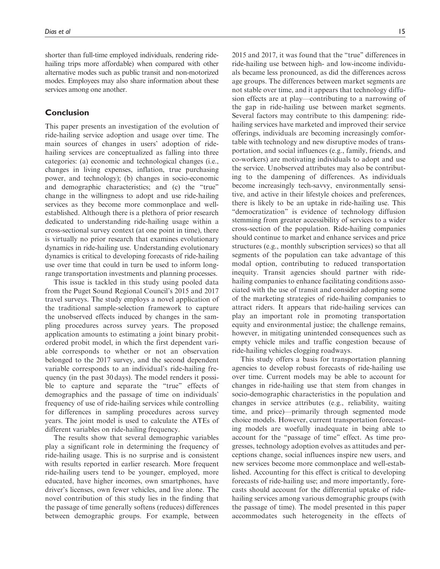shorter than full-time employed individuals, rendering ridehailing trips more affordable) when compared with other alternative modes such as public transit and non-motorized modes. Employees may also share information about these services among one another.

## Conclusion

This paper presents an investigation of the evolution of ride-hailing service adoption and usage over time. The main sources of changes in users' adoption of ridehailing services are conceptualized as falling into three categories: (a) economic and technological changes (i.e., changes in living expenses, inflation, true purchasing power, and technology); (b) changes in socio-economic and demographic characteristics; and (c) the ''true'' change in the willingness to adopt and use ride-hailing services as they become more commonplace and wellestablished. Although there is a plethora of prior research dedicated to understanding ride-hailing usage within a cross-sectional survey context (at one point in time), there is virtually no prior research that examines evolutionary dynamics in ride-hailing use. Understanding evolutionary dynamics is critical to developing forecasts of ride-hailing use over time that could in turn be used to inform longrange transportation investments and planning processes.

This issue is tackled in this study using pooled data from the Puget Sound Regional Council's 2015 and 2017 travel surveys. The study employs a novel application of the traditional sample-selection framework to capture the unobserved effects induced by changes in the sampling procedures across survey years. The proposed application amounts to estimating a joint binary probitordered probit model, in which the first dependent variable corresponds to whether or not an observation belonged to the 2017 survey, and the second dependent variable corresponds to an individual's ride-hailing frequency (in the past 30 days). The model renders it possible to capture and separate the "true" effects of demographics and the passage of time on individuals' frequency of use of ride-hailing services while controlling for differences in sampling procedures across survey years. The joint model is used to calculate the ATEs of different variables on ride-hailing frequency.

The results show that several demographic variables play a significant role in determining the frequency of ride-hailing usage. This is no surprise and is consistent with results reported in earlier research. More frequent ride-hailing users tend to be younger, employed, more educated, have higher incomes, own smartphones, have driver's licenses, own fewer vehicles, and live alone. The novel contribution of this study lies in the finding that the passage of time generally softens (reduces) differences between demographic groups. For example, between

2015 and 2017, it was found that the ''true'' differences in ride-hailing use between high- and low-income individuals became less pronounced, as did the differences across age groups. The differences between market segments are not stable over time, and it appears that technology diffusion effects are at play—contributing to a narrowing of the gap in ride-hailing use between market segments. Several factors may contribute to this dampening: ridehailing services have marketed and improved their service offerings, individuals are becoming increasingly comfortable with technology and new disruptive modes of transportation, and social influences (e.g., family, friends, and co-workers) are motivating individuals to adopt and use the service. Unobserved attributes may also be contributing to the dampening of differences. As individuals become increasingly tech-savvy, environmentally sensitive, and active in their lifestyle choices and preferences, there is likely to be an uptake in ride-hailing use. This "democratization" is evidence of technology diffusion stemming from greater accessibility of services to a wider cross-section of the population. Ride-hailing companies should continue to market and enhance services and price structures (e.g., monthly subscription services) so that all segments of the population can take advantage of this modal option, contributing to reduced transportation inequity. Transit agencies should partner with ridehailing companies to enhance facilitating conditions associated with the use of transit and consider adopting some of the marketing strategies of ride-hailing companies to

attract riders. It appears that ride-hailing services can play an important role in promoting transportation equity and environmental justice; the challenge remains, however, in mitigating unintended consequences such as empty vehicle miles and traffic congestion because of ride-hailing vehicles clogging roadways.

This study offers a basis for transportation planning agencies to develop robust forecasts of ride-hailing use over time. Current models may be able to account for changes in ride-hailing use that stem from changes in socio-demographic characteristics in the population and changes in service attributes (e.g., reliability, waiting time, and price)—primarily through segmented mode choice models. However, current transportation forecasting models are woefully inadequate in being able to account for the "passage of time" effect. As time progresses, technology adoption evolves as attitudes and perceptions change, social influences inspire new users, and new services become more commonplace and well-established. Accounting for this effect is critical to developing forecasts of ride-hailing use; and more importantly, forecasts should account for the differential uptake of ridehailing services among various demographic groups (with the passage of time). The model presented in this paper accommodates such heterogeneity in the effects of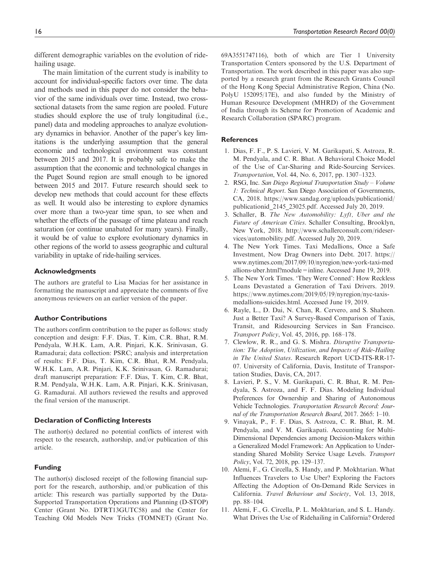different demographic variables on the evolution of ridehailing usage.

The main limitation of the current study is inability to account for individual-specific factors over time. The data and methods used in this paper do not consider the behavior of the same individuals over time. Instead, two crosssectional datasets from the same region are pooled. Future studies should explore the use of truly longitudinal (i.e., panel) data and modeling approaches to analyze evolutionary dynamics in behavior. Another of the paper's key limitations is the underlying assumption that the general economic and technological environment was constant between 2015 and 2017. It is probably safe to make the assumption that the economic and technological changes in the Puget Sound region are small enough to be ignored between 2015 and 2017. Future research should seek to develop new methods that could account for these effects as well. It would also be interesting to explore dynamics over more than a two-year time span, to see when and whether the effects of the passage of time plateau and reach saturation (or continue unabated for many years). Finally, it would be of value to explore evolutionary dynamics in other regions of the world to assess geographic and cultural variability in uptake of ride-hailing services.

## Acknowledgments

The authors are grateful to Lisa Macias for her assistance in formatting the manuscript and appreciate the comments of five anonymous reviewers on an earlier version of the paper.

## Author Contributions

The authors confirm contribution to the paper as follows: study conception and design: F.F. Dias, T. Kim, C.R. Bhat, R.M. Pendyala, W.H.K. Lam, A.R. Pinjari, K.K. Srinivasan, G. Ramadurai; data collection: PSRC; analysis and interpretation of results: F.F. Dias, T. Kim, C.R. Bhat, R.M. Pendyala, W.H.K. Lam, A.R. Pinjari, K.K. Srinivasan, G. Ramadurai; draft manuscript preparation: F.F. Dias, T. Kim, C.R. Bhat, R.M. Pendyala, W.H.K. Lam, A.R. Pinjari, K.K. Srinivasan, G. Ramadurai. All authors reviewed the results and approved the final version of the manuscript.

#### Declaration of Conflicting Interests

The author(s) declared no potential conflicts of interest with respect to the research, authorship, and/or publication of this article.

#### Funding

The author(s) disclosed receipt of the following financial support for the research, authorship, and/or publication of this article: This research was partially supported by the Data-Supported Transportation Operations and Planning (D-STOP) Center (Grant No. DTRT13GUTC58) and the Center for Teaching Old Models New Tricks (TOMNET) (Grant No. 69A3551747116), both of which are Tier 1 University Transportation Centers sponsored by the U.S. Department of Transportation. The work described in this paper was also supported by a research grant from the Research Grants Council of the Hong Kong Special Administrative Region, China (No. PolyU 152095/17E), and also funded by the Ministry of Human Resource Development (MHRD) of the Government of India through its Scheme for Promotion of Academic and Research Collaboration (SPARC) program.

#### **References**

- 1. Dias, F. F., P. S. Lavieri, V. M. Garikapati, S. Astroza, R. M. Pendyala, and C. R. Bhat. A Behavioral Choice Model of the Use of Car-Sharing and Ride-Sourcing Services. *Transportation*, Vol. 44, No. 6, 2017, pp. 1307–1323.
- 2. RSG, Inc. *San Diego Regional Transportation Study Volume 1: Technical Report*. San Diego Association of Governments, CA, 2018. https://www.sandag.org/uploads/publicationid/ publicationid\_2145\_23025.pdf. Accessed July 20, 2019.
- 3. Schaller, B. *The New Automobility: Lyft, Uber and the Future of American Cities*. Schaller Consulting, Brooklyn, New York, 2018. http://www.schallerconsult.com/rideservices/automobility.pdf. Accessed July 20, 2019.
- 4. The New York Times. Taxi Medallions, Once a Safe Investment, Now Drag Owners into Debt. 2017. https:// www.nytimes.com/2017/09/10/nyregion/new-york-taxi-med allions-uber.html?module=inline. Accessed June 19, 2019.
- 5. The New York Times. 'They Were Conned': How Reckless Loans Devastated a Generation of Taxi Drivers. 2019. https://www.nytimes.com/2019/05/19/nyregion/nyc-taxismedallions-suicides.html. Accessed June 19, 2019.
- 6. Rayle, L., D. Dai, N. Chan, R. Cervero, and S. Shaheen. Just a Better Taxi? A Survey-Based Comparison of Taxis, Transit, and Ridesourcing Services in San Francisco. *Transport Policy*, Vol. 45, 2016, pp. 168–178.
- 7. Clewlow, R. R., and G. S. Mishra. *Disruptive Transportation: The Adoption, Utilization, and Impacts of Ride-Hailing in The United States*. Research Report UCD-ITS-RR-17- 07. University of California, Davis, Institute of Transportation Studies, Davis, CA, 2017.
- 8. Lavieri, P. S., V. M. Garikapati, C. R. Bhat, R. M. Pendyala, S. Astroza, and F. F. Dias. Modeling Individual Preferences for Ownership and Sharing of Autonomous Vehicle Technologies. *Transportation Research Record: Journal of the Transportation Research Board*, 2017. 2665: 1–10.
- 9. Vinayak, P., F. F. Dias, S. Astroza, C. R. Bhat, R. M. Pendyala, and V. M. Garikapati. Accounting for Multi-Dimensional Dependencies among Decision-Makers within a Generalized Model Framework: An Application to Understanding Shared Mobility Service Usage Levels. *Transport Policy*, Vol. 72, 2018, pp. 129–137.
- 10. Alemi, F., G. Circella, S. Handy, and P. Mokhtarian. What Influences Travelers to Use Uber? Exploring the Factors Affecting the Adoption of On-Demand Ride Services in California. *Travel Behaviour and Society*, Vol. 13, 2018, pp. 88–104.
- 11. Alemi, F., G. Circella, P. L. Mokhtarian, and S. L. Handy. What Drives the Use of Ridehailing in California? Ordered